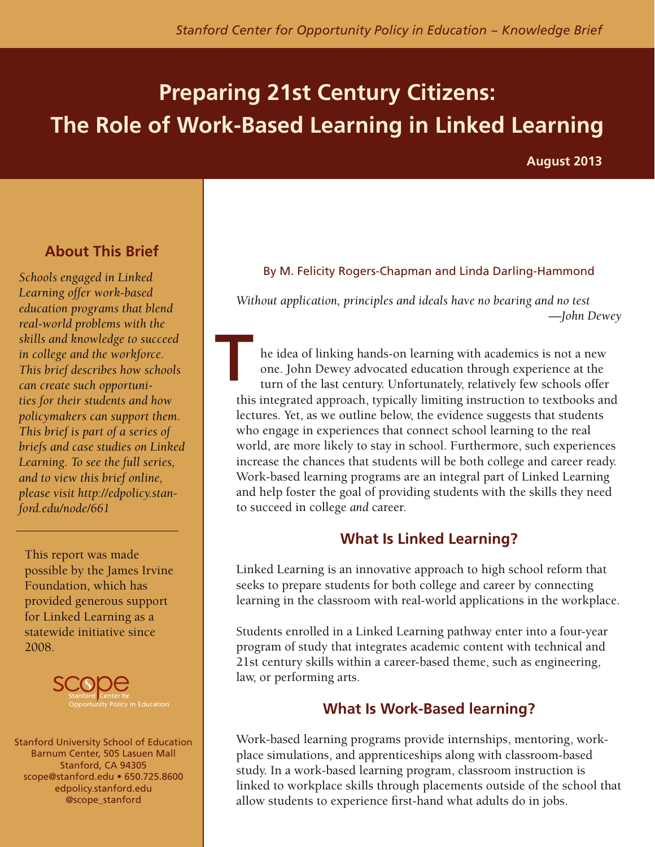# **Preparing 21st Century Citizens: The Role of Work-Based Learning in Linked Learning**

**August 2013**

# **About This Brief**

*Schools engaged in Linked Learning offer work-based education programs that blend real-world problems with the skills and knowledge to succeed in college and the workforce. This brief describes how schools can create such opportunities for their students and how policymakers can support them. This brief is part of a series of briefs and case studies on Linked Learning. To see the full series, and to view this brief online, please visit http://edpolicy.stanford.edu/node/661* 

This report was made possible by the James Irvine Foundation, which has provided generous support for Linked Learning as a statewide initiative since 2008.



Stanford University School of Education Barnum Center, 505 Lasuen Mall Stanford, CA 94305 scope@stanford.edu • 650.725.8600 edpolicy.stanford.edu @scope\_stanford

## By M. Felicity Rogers-Chapman and Linda Darling-Hammond

*Without application, principles and ideals have no bearing and no test —John Dewey*

he idea of linking hands-on learning with academics is not a new one. John Dewey advocated education through experience at the turn of the last century. Unfortunately, relatively few schools offer this integrated approach, typically limiting instruction to textbooks and lectures. Yet, as we outline below, the evidence suggests that students who engage in experiences that connect school learning to the real world, are more likely to stay in school. Furthermore, such experiences increase the chances that students will be both college and career ready. Work-based learning programs are an integral part of Linked Learning and help foster the goal of providing students with the skills they need to succeed in college *and* career. **T**

# **What Is Linked Learning?**

Linked Learning is an innovative approach to high school reform that seeks to prepare students for both college and career by connecting learning in the classroom with real-world applications in the workplace.

Students enrolled in a Linked Learning pathway enter into a four-year program of study that integrates academic content with technical and 21st century skills within a career-based theme, such as engineering, law, or performing arts.

# **What Is Work-Based learning?**

Work-based learning programs provide internships, mentoring, workplace simulations, and apprenticeships along with classroom-based study. In a work-based learning program, classroom instruction is linked to workplace skills through placements outside of the school that allow students to experience first-hand what adults do in jobs.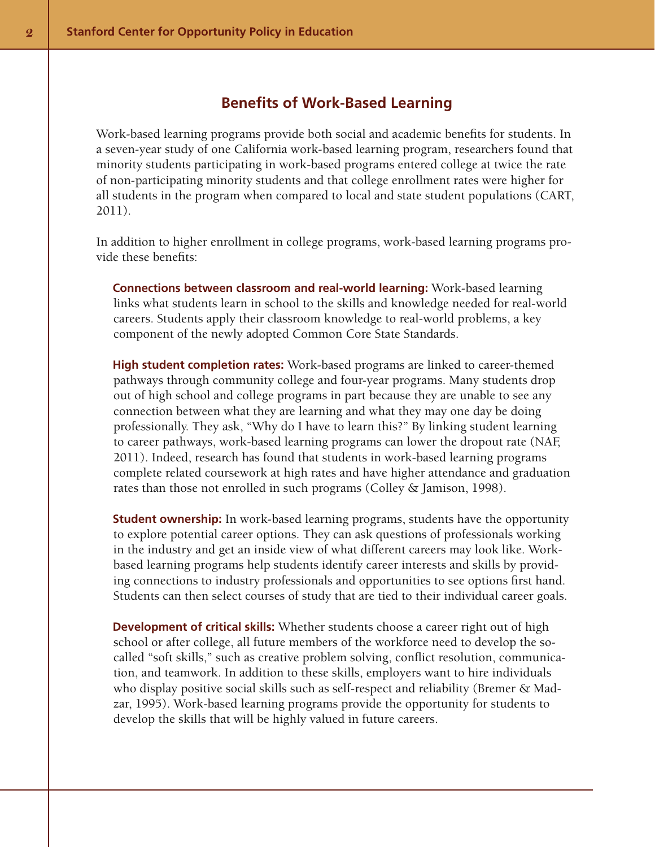# **Benefits of Work-Based Learning**

Work-based learning programs provide both social and academic benefits for students. In a seven-year study of one California work-based learning program, researchers found that minority students participating in work-based programs entered college at twice the rate of non-participating minority students and that college enrollment rates were higher for all students in the program when compared to local and state student populations (CART, 2011).

In addition to higher enrollment in college programs, work-based learning programs provide these benefits:

**Connections between classroom and real-world learning:** Work-based learning links what students learn in school to the skills and knowledge needed for real-world careers. Students apply their classroom knowledge to real-world problems, a key component of the newly adopted Common Core State Standards.

**High student completion rates:** Work-based programs are linked to career-themed pathways through community college and four-year programs. Many students drop out of high school and college programs in part because they are unable to see any connection between what they are learning and what they may one day be doing professionally. They ask, "Why do I have to learn this?" By linking student learning to career pathways, work-based learning programs can lower the dropout rate (NAF, 2011). Indeed, research has found that students in work-based learning programs complete related coursework at high rates and have higher attendance and graduation rates than those not enrolled in such programs (Colley & Jamison, 1998).

**Student ownership:** In work-based learning programs, students have the opportunity to explore potential career options. They can ask questions of professionals working in the industry and get an inside view of what different careers may look like. Workbased learning programs help students identify career interests and skills by providing connections to industry professionals and opportunities to see options first hand. Students can then select courses of study that are tied to their individual career goals.

**Development of critical skills:** Whether students choose a career right out of high school or after college, all future members of the workforce need to develop the socalled "soft skills," such as creative problem solving, conflict resolution, communication, and teamwork. In addition to these skills, employers want to hire individuals who display positive social skills such as self-respect and reliability (Bremer & Madzar, 1995). Work-based learning programs provide the opportunity for students to develop the skills that will be highly valued in future careers.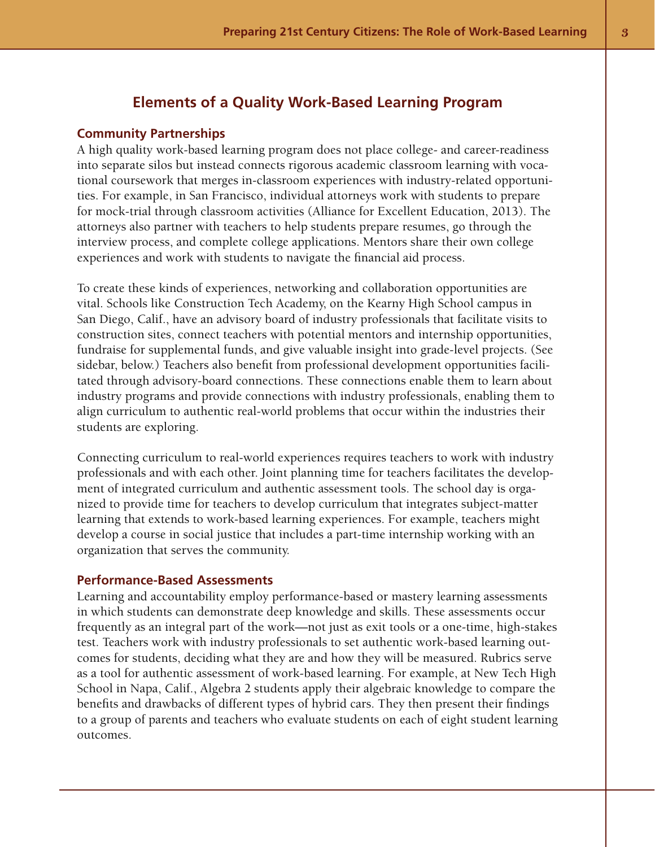# **Elements of a Quality Work-Based Learning Program**

#### **Community Partnerships**

A high quality work-based learning program does not place college- and career-readiness into separate silos but instead connects rigorous academic classroom learning with vocational coursework that merges in-classroom experiences with industry-related opportunities. For example, in San Francisco, individual attorneys work with students to prepare for mock-trial through classroom activities (Alliance for Excellent Education, 2013). The attorneys also partner with teachers to help students prepare resumes, go through the interview process, and complete college applications. Mentors share their own college experiences and work with students to navigate the financial aid process.

To create these kinds of experiences, networking and collaboration opportunities are vital. Schools like Construction Tech Academy, on the Kearny High School campus in San Diego, Calif., have an advisory board of industry professionals that facilitate visits to construction sites, connect teachers with potential mentors and internship opportunities, fundraise for supplemental funds, and give valuable insight into grade-level projects. (See sidebar, below.) Teachers also benefit from professional development opportunities facilitated through advisory-board connections. These connections enable them to learn about industry programs and provide connections with industry professionals, enabling them to align curriculum to authentic real-world problems that occur within the industries their students are exploring.

Connecting curriculum to real-world experiences requires teachers to work with industry professionals and with each other. Joint planning time for teachers facilitates the development of integrated curriculum and authentic assessment tools. The school day is organized to provide time for teachers to develop curriculum that integrates subject-matter learning that extends to work-based learning experiences. For example, teachers might develop a course in social justice that includes a part-time internship working with an organization that serves the community.

#### **Performance-Based Assessments**

Learning and accountability employ performance-based or mastery learning assessments in which students can demonstrate deep knowledge and skills. These assessments occur frequently as an integral part of the work—not just as exit tools or a one-time, high-stakes test. Teachers work with industry professionals to set authentic work-based learning outcomes for students, deciding what they are and how they will be measured. Rubrics serve as a tool for authentic assessment of work-based learning. For example, at New Tech High School in Napa, Calif., Algebra 2 students apply their algebraic knowledge to compare the benefits and drawbacks of different types of hybrid cars. They then present their findings to a group of parents and teachers who evaluate students on each of eight student learning outcomes.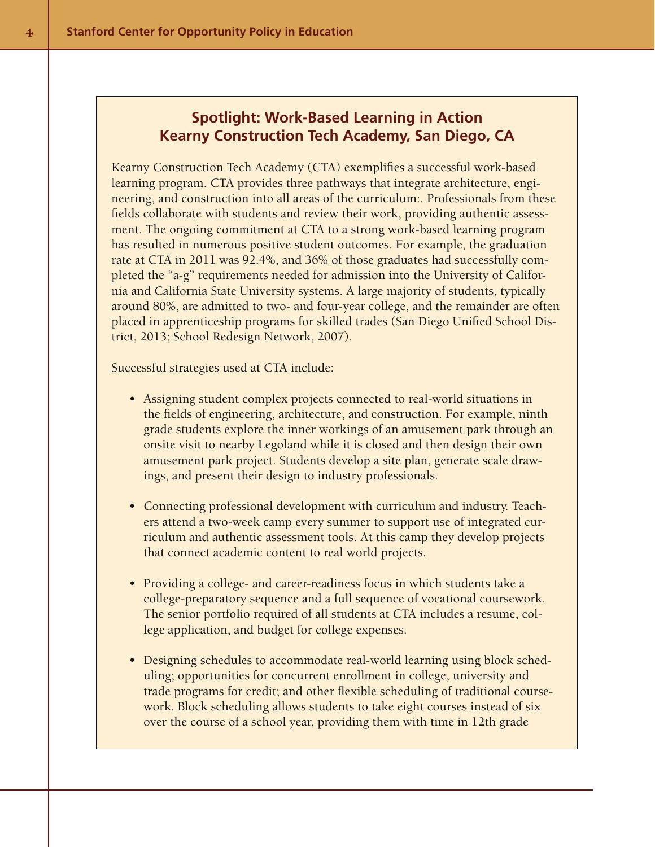# **Spotlight: Work-Based Learning in Action Kearny Construction Tech Academy, San Diego, CA**

Kearny Construction Tech Academy (CTA) exemplifies a successful work-based learning program. CTA provides three pathways that integrate architecture, engineering, and construction into all areas of the curriculum:. Professionals from these fields collaborate with students and review their work, providing authentic assessment. The ongoing commitment at CTA to a strong work-based learning program has resulted in numerous positive student outcomes. For example, the graduation rate at CTA in 2011 was 92.4%, and 36% of those graduates had successfully completed the "a-g" requirements needed for admission into the University of California and California State University systems. A large majority of students, typically around 80%, are admitted to two- and four-year college, and the remainder are often placed in apprenticeship programs for skilled trades (San Diego Unified School District, 2013; School Redesign Network, 2007).

Successful strategies used at CTA include:

- Assigning student complex projects connected to real-world situations in the fields of engineering, architecture, and construction. For example, ninth grade students explore the inner workings of an amusement park through an onsite visit to nearby Legoland while it is closed and then design their own amusement park project. Students develop a site plan, generate scale drawings, and present their design to industry professionals.
- Connecting professional development with curriculum and industry. Teachers attend a two-week camp every summer to support use of integrated curriculum and authentic assessment tools. At this camp they develop projects that connect academic content to real world projects.
- Providing a college- and career-readiness focus in which students take a college-preparatory sequence and a full sequence of vocational coursework. The senior portfolio required of all students at CTA includes a resume, college application, and budget for college expenses.
- Designing schedules to accommodate real-world learning using block scheduling; opportunities for concurrent enrollment in college, university and trade programs for credit; and other flexible scheduling of traditional coursework. Block scheduling allows students to take eight courses instead of six over the course of a school year, providing them with time in 12th grade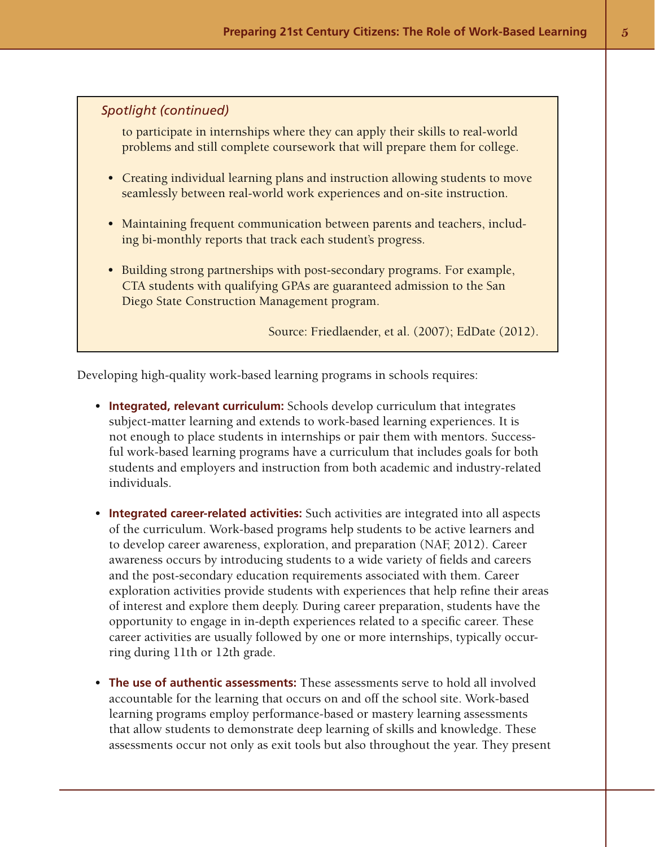## *Spotlight (continued)*

to participate in internships where they can apply their skills to real-world problems and still complete coursework that will prepare them for college.

- Creating individual learning plans and instruction allowing students to move seamlessly between real-world work experiences and on-site instruction.
- Maintaining frequent communication between parents and teachers, including bi-monthly reports that track each student's progress.
- Building strong partnerships with post-secondary programs. For example, CTA students with qualifying GPAs are guaranteed admission to the San Diego State Construction Management program.

Source: Friedlaender, et al. (2007); EdDate (2012).

Developing high-quality work-based learning programs in schools requires:

- **Integrated, relevant curriculum:** Schools develop curriculum that integrates subject-matter learning and extends to work-based learning experiences. It is not enough to place students in internships or pair them with mentors. Successful work-based learning programs have a curriculum that includes goals for both students and employers and instruction from both academic and industry-related individuals.
- **Integrated career-related activities:** Such activities are integrated into all aspects of the curriculum. Work-based programs help students to be active learners and to develop career awareness, exploration, and preparation (NAF, 2012). Career awareness occurs by introducing students to a wide variety of fields and careers and the post-secondary education requirements associated with them. Career exploration activities provide students with experiences that help refine their areas of interest and explore them deeply. During career preparation, students have the opportunity to engage in in-depth experiences related to a specific career. These career activities are usually followed by one or more internships, typically occurring during 11th or 12th grade.
- • **The use of authentic assessments:** These assessments serve to hold all involved accountable for the learning that occurs on and off the school site. Work-based learning programs employ performance-based or mastery learning assessments that allow students to demonstrate deep learning of skills and knowledge. These assessments occur not only as exit tools but also throughout the year. They present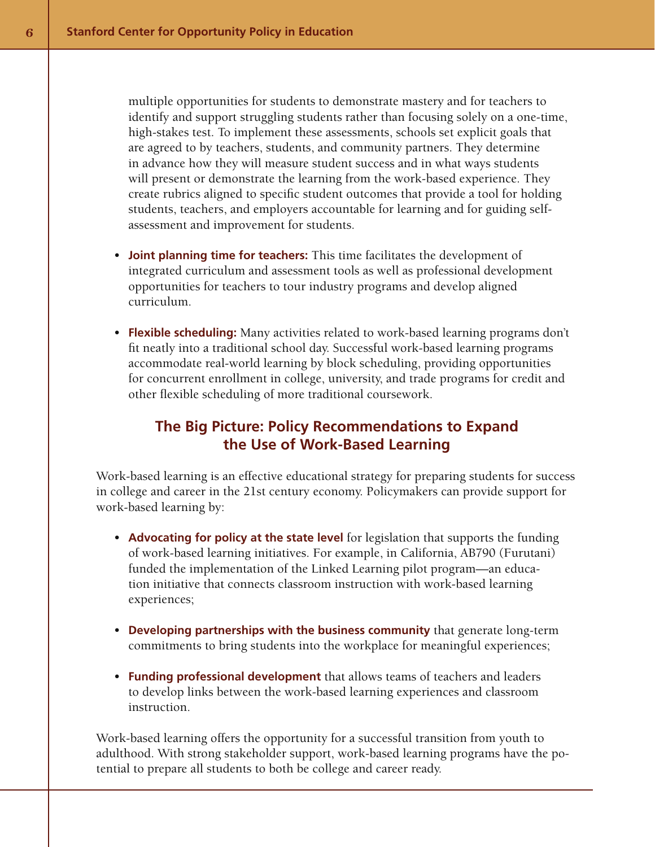multiple opportunities for students to demonstrate mastery and for teachers to identify and support struggling students rather than focusing solely on a one-time, high-stakes test. To implement these assessments, schools set explicit goals that are agreed to by teachers, students, and community partners. They determine in advance how they will measure student success and in what ways students will present or demonstrate the learning from the work-based experience. They create rubrics aligned to specific student outcomes that provide a tool for holding students, teachers, and employers accountable for learning and for guiding selfassessment and improvement for students.

- • **Joint planning time for teachers:** This time facilitates the development of integrated curriculum and assessment tools as well as professional development opportunities for teachers to tour industry programs and develop aligned curriculum.
- **Flexible scheduling:** Many activities related to work-based learning programs don't fit neatly into a traditional school day. Successful work-based learning programs accommodate real-world learning by block scheduling, providing opportunities for concurrent enrollment in college, university, and trade programs for credit and other flexible scheduling of more traditional coursework.

# **The Big Picture: Policy Recommendations to Expand the Use of Work-Based Learning**

Work-based learning is an effective educational strategy for preparing students for success in college and career in the 21st century economy. Policymakers can provide support for work-based learning by:

- Advocating for policy at the state level for legislation that supports the funding of work-based learning initiatives. For example, in California, AB790 (Furutani) funded the implementation of the Linked Learning pilot program—an education initiative that connects classroom instruction with work-based learning experiences;
- • **Developing partnerships with the business community** that generate long-term commitments to bring students into the workplace for meaningful experiences;
- • **Funding professional development** that allows teams of teachers and leaders to develop links between the work-based learning experiences and classroom instruction.

Work-based learning offers the opportunity for a successful transition from youth to adulthood. With strong stakeholder support, work-based learning programs have the potential to prepare all students to both be college and career ready.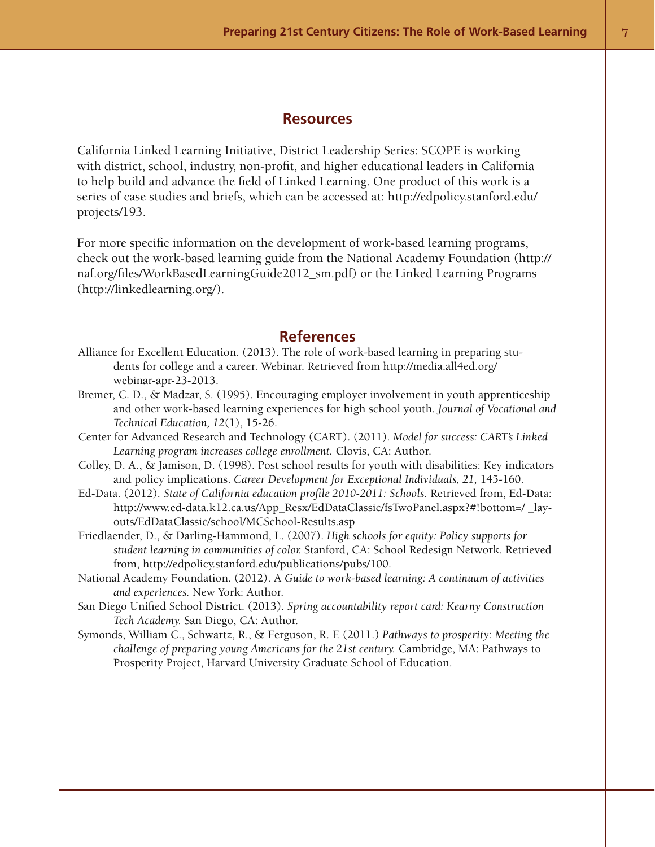#### **Resources**

California Linked Learning Initiative, District Leadership Series: SCOPE is working with district, school, industry, non-profit, and higher educational leaders in California to help build and advance the field of Linked Learning. One product of this work is a series of case studies and briefs, which can be accessed at: http://edpolicy.stanford.edu/ projects/193.

For more specific information on the development of work-based learning programs, check out the work-based learning guide from the National Academy Foundation (http:// naf.org/files/WorkBasedLearningGuide2012\_sm.pdf) or the Linked Learning Programs (http://linkedlearning.org/).

## **References**

- Alliance for Excellent Education. (2013). The role of work-based learning in preparing students for college and a career. Webinar. Retrieved from http://media.all4ed.org/ webinar-apr-23-2013.
- Bremer, C. D., & Madzar, S. (1995). Encouraging employer involvement in youth apprenticeship and other work-based learning experiences for high school youth. *Journal of Vocational and Technical Education, 12*(1), 15-26.
- Center for Advanced Research and Technology (CART). (2011). *Model for success: CART's Linked Learning program increases college enrollment.* Clovis, CA: Author.
- Colley, D. A., & Jamison, D. (1998). Post school results for youth with disabilities: Key indicators and policy implications. *Career Development for Exceptional Individuals, 21,* 145-160.
- Ed-Data. (2012). *State of California education profile 2010-2011: Schools.* Retrieved from, Ed-Data: http://www.ed-data.k12.ca.us/App\_Resx/EdDataClassic/fsTwoPanel.aspx?#!bottom=/ \_layouts/EdDataClassic/school/MCSchool-Results.asp
- Friedlaender, D., & Darling-Hammond, L. (2007). *High schools for equity: Policy supports for student learning in communities of color.* Stanford, CA: School Redesign Network. Retrieved from, http://edpolicy.stanford.edu/publications/pubs/100.
- National Academy Foundation. (2012). A *Guide to work-based learning: A continuum of activities and experiences.* New York: Author.
- San Diego Unified School District. (2013). *Spring accountability report card: Kearny Construction Tech Academy.* San Diego, CA: Author.
- Symonds, William C., Schwartz, R., & Ferguson, R. F. (2011.) *Pathways to prosperity: Meeting the challenge of preparing young Americans for the 21st century.* Cambridge, MA: Pathways to Prosperity Project, Harvard University Graduate School of Education.